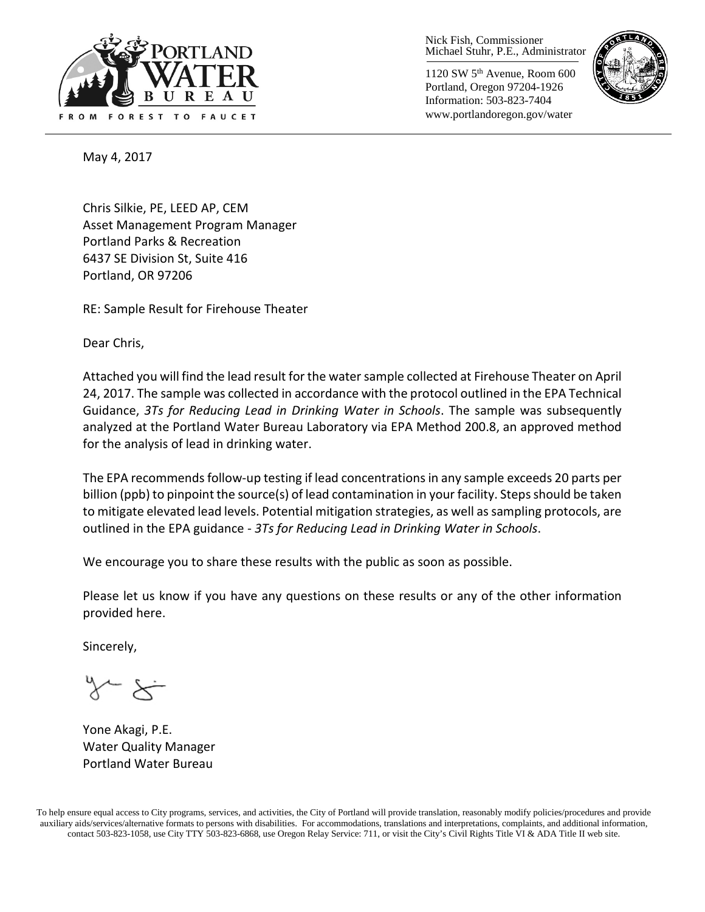

Nick Fish, Commissioner Michael Stuhr, P.E., Administrator

1120 SW 5th Avenue, Room 600 Portland, Oregon 97204-1926 Information: 503-823-7404 www.portlandoregon.gov/water



May 4, 2017

Chris Silkie, PE, LEED AP, CEM Asset Management Program Manager Portland Parks & Recreation 6437 SE Division St, Suite 416 Portland, OR 97206

RE: Sample Result for Firehouse Theater

Dear Chris,

Attached you will find the lead result for the water sample collected at Firehouse Theater on April 24, 2017. The sample was collected in accordance with the protocol outlined in the EPA Technical Guidance, *3Ts for Reducing Lead in Drinking Water in Schools*. The sample was subsequently analyzed at the Portland Water Bureau Laboratory via EPA Method 200.8, an approved method for the analysis of lead in drinking water.

The EPA recommends follow-up testing if lead concentrations in any sample exceeds 20 parts per billion (ppb) to pinpoint the source(s) of lead contamination in your facility. Steps should be taken to mitigate elevated lead levels. Potential mitigation strategies, as well as sampling protocols, are outlined in the EPA guidance - *3Ts for Reducing Lead in Drinking Water in Schools*.

We encourage you to share these results with the public as soon as possible.

Please let us know if you have any questions on these results or any of the other information provided here.

Sincerely,

Yone Akagi, P.E. Water Quality Manager Portland Water Bureau

To help ensure equal access to City programs, services, and activities, the City of Portland will provide translation, reasonably modify policies/procedures and provide auxiliary aids/services/alternative formats to persons with disabilities. For accommodations, translations and interpretations, complaints, and additional information, contact 503-823-1058, use City TTY 503-823-6868, use Oregon Relay Service: 711, or visi[t the City's Civil Rights Title VI & ADA Title II web site.](http://www.portlandoregon.gov/oehr/66458)